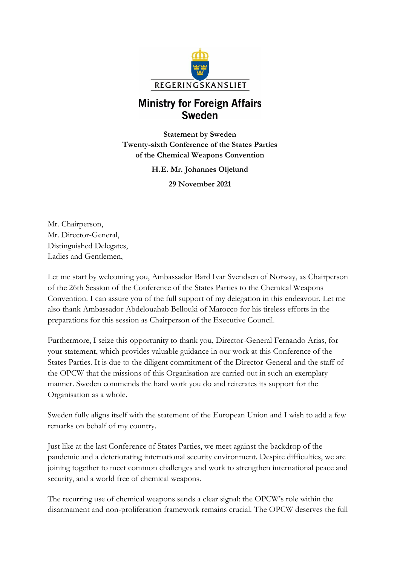

## **Ministry for Foreign Affairs Sweden**

**Statement by Sweden Twenty-sixth Conference of the States Parties of the Chemical Weapons Convention**

**H.E. Mr. Johannes Oljelund**

**29 November 2021**

Mr. Chairperson, Mr. Director-General, Distinguished Delegates, Ladies and Gentlemen,

Let me start by welcoming you, Ambassador Bård Ivar Svendsen of Norway, as Chairperson of the 26th Session of the Conference of the States Parties to the Chemical Weapons Convention. I can assure you of the full support of my delegation in this endeavour. Let me also thank Ambassador Abdelouahab Bellouki of Marocco for his tireless efforts in the preparations for this session as Chairperson of the Executive Council.

Furthermore, I seize this opportunity to thank you, Director-General Fernando Arias, for your statement, which provides valuable guidance in our work at this Conference of the States Parties. It is due to the diligent commitment of the Director-General and the staff of the OPCW that the missions of this Organisation are carried out in such an exemplary manner. Sweden commends the hard work you do and reiterates its support for the Organisation as a whole.

Sweden fully aligns itself with the statement of the European Union and I wish to add a few remarks on behalf of my country.

Just like at the last Conference of States Parties, we meet against the backdrop of the pandemic and a deteriorating international security environment. Despite difficulties, we are joining together to meet common challenges and work to strengthen international peace and security, and a world free of chemical weapons.

The recurring use of chemical weapons sends a clear signal: the OPCW's role within the disarmament and non-proliferation framework remains crucial. The OPCW deserves the full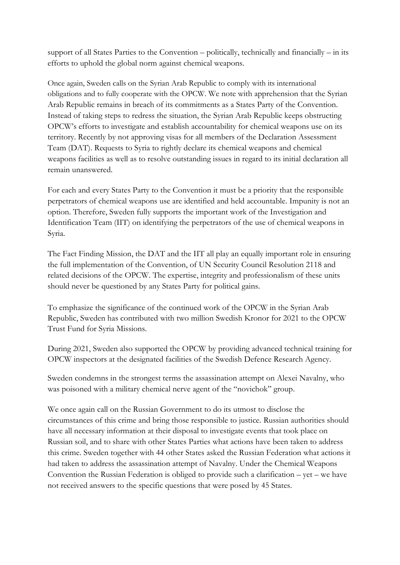support of all States Parties to the Convention – politically, technically and financially – in its efforts to uphold the global norm against chemical weapons.

Once again, Sweden calls on the Syrian Arab Republic to comply with its international obligations and to fully cooperate with the OPCW. We note with apprehension that the Syrian Arab Republic remains in breach of its commitments as a States Party of the Convention. Instead of taking steps to redress the situation, the Syrian Arab Republic keeps obstructing OPCW's efforts to investigate and establish accountability for chemical weapons use on its territory. Recently by not approving visas for all members of the Declaration Assessment Team (DAT). Requests to Syria to rightly declare its chemical weapons and chemical weapons facilities as well as to resolve outstanding issues in regard to its initial declaration all remain unanswered.

For each and every States Party to the Convention it must be a priority that the responsible perpetrators of chemical weapons use are identified and held accountable. Impunity is not an option. Therefore, Sweden fully supports the important work of the Investigation and Identification Team (IIT) on identifying the perpetrators of the use of chemical weapons in Syria.

The Fact Finding Mission, the DAT and the IIT all play an equally important role in ensuring the full implementation of the Convention, of UN Security Council Resolution 2118 and related decisions of the OPCW. The expertise, integrity and professionalism of these units should never be questioned by any States Party for political gains.

To emphasize the significance of the continued work of the OPCW in the Syrian Arab Republic, Sweden has contributed with two million Swedish Kronor for 2021 to the OPCW Trust Fund for Syria Missions.

During 2021, Sweden also supported the OPCW by providing advanced technical training for OPCW inspectors at the designated facilities of the Swedish Defence Research Agency.

Sweden condemns in the strongest terms the assassination attempt on Alexei Navalny, who was poisoned with a military chemical nerve agent of the "novichok" group.

We once again call on the Russian Government to do its utmost to disclose the circumstances of this crime and bring those responsible to justice. Russian authorities should have all necessary information at their disposal to investigate events that took place on Russian soil, and to share with other States Parties what actions have been taken to address this crime. Sweden together with 44 other States asked the Russian Federation what actions it had taken to address the assassination attempt of Navalny. Under the Chemical Weapons Convention the Russian Federation is obliged to provide such a clarification – yet – we have not received answers to the specific questions that were posed by 45 States.